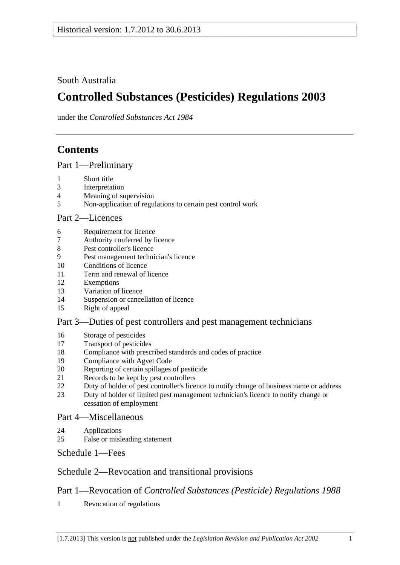## <span id="page-0-0"></span>South Australia

# **Controlled Substances (Pesticides) Regulations 2003**

under the *Controlled Substances Act 1984*

# **Contents**

[Part 1—Preliminary](#page-1-0)

- [1 Short title](#page-1-0)
- [3 Interpretation](#page-1-0)
- [4 Meaning of supervision](#page-2-0)
- [5 Non-application of regulations to certain pest control work](#page-2-0)

### [Part 2—Licences](#page-3-0)

- [6 Requirement for licence](#page-3-0)
- [7 Authority conferred by licence](#page-3-0)
- [8 Pest controller's licence](#page-4-0)
- [9 Pest management technician's licence](#page-4-0)
- [10 Conditions of licence](#page-6-0)
- [11 Term and renewal of licence](#page-6-0)
- [12 Exemptions](#page-6-0)
- [13 Variation of licence](#page-7-0)
- [14 Suspension or cancellation of licence](#page-7-0)
- [15 Right of appeal](#page-8-0)

## [Part 3—Duties of pest controllers and pest management technicians](#page-8-0)

- [16 Storage of pesticides](#page-8-0)
- [17 Transport of pesticides](#page-9-0)
- [18 Compliance with prescribed standards and codes of practice](#page-9-0)
- [19 Compliance with Agvet Code](#page-10-0)
- [20 Reporting of certain spillages of pesticide](#page-11-0)
- [21 Records to be kept by pest controllers](#page-11-0)
- [22 Duty of holder of pest controller's licence to notify change of business name or address](#page-12-0)
- [23 Duty of holder of limited pest management technician's licence to notify change or](#page-13-0)  [cessation of employment](#page-13-0)

### [Part 4—Miscellaneous](#page-13-0)

- [24 Applications](#page-13-0)
- [25 False or misleading statement](#page-13-0)

[Schedule 1—Fees](#page-13-0) 

## [Schedule 2—Revocation and transitional provisions](#page-14-0)

## Part 1—Revocation of *[Controlled Substances \(Pesticide\) Regulations 1988](#page-0-0)*

[1 Revocation of regulations](#page-14-0)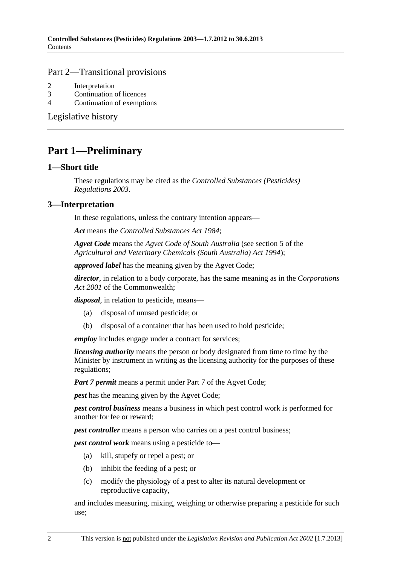#### <span id="page-1-0"></span>[Part 2—Transitional provisions](#page-0-0)

- [2 Interpretation](#page-14-0)
- [3 Continuation of licences](#page-14-0)
- [4 Continuation of exemptions](#page-14-0)

[Legislative history](#page-15-0) 

# **Part 1—Preliminary**

#### **1—Short title**

These regulations may be cited as the *Controlled Substances (Pesticides) Regulations 2003*.

## **3—Interpretation**

In these regulations, unless the contrary intention appears—

*Act* means the *[Controlled Substances Act 1984](http://www.legislation.sa.gov.au/index.aspx?action=legref&type=act&legtitle=Controlled%20Substances%20Act%201984)*;

*Agvet Code* means the *Agvet Code of South Australia* (see section 5 of the *[Agricultural and Veterinary Chemicals \(South Australia\) Act 1994](http://www.legislation.sa.gov.au/index.aspx?action=legref&type=act&legtitle=Agricultural%20and%20Veterinary%20Chemicals%20(South%20Australia)%20Act%201994)*);

*approved label* has the meaning given by the Agvet Code;

*director*, in relation to a body corporate, has the same meaning as in the *Corporations Act 2001* of the Commonwealth;

*disposal*, in relation to pesticide, means—

- (a) disposal of unused pesticide; or
- (b) disposal of a container that has been used to hold pesticide;

*employ* includes engage under a contract for services;

*licensing authority* means the person or body designated from time to time by the Minister by instrument in writing as the licensing authority for the purposes of these regulations;

*Part 7 permit* means a permit under Part 7 of the Agvet Code;

*pest* has the meaning given by the Agvet Code;

*pest control business* means a business in which pest control work is performed for another for fee or reward;

*pest controller* means a person who carries on a pest control business;

*pest control work* means using a pesticide to—

- (a) kill, stupefy or repel a pest; or
- (b) inhibit the feeding of a pest; or
- (c) modify the physiology of a pest to alter its natural development or reproductive capacity,

and includes measuring, mixing, weighing or otherwise preparing a pesticide for such use;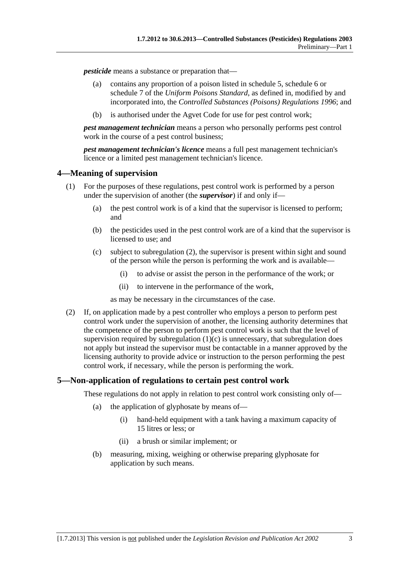<span id="page-2-0"></span>*pesticide* means a substance or preparation that—

- (a) contains any proportion of a poison listed in schedule 5, schedule 6 or schedule 7 of the *Uniform Poisons Standard*, as defined in, modified by and incorporated into, the *[Controlled Substances \(Poisons\) Regulations 1996](http://www.legislation.sa.gov.au/index.aspx?action=legref&type=subordleg&legtitle=Controlled%20Substances%20(Poisons)%20Regulations%201996)*; and
- (b) is authorised under the Agvet Code for use for pest control work;

*pest management technician* means a person who personally performs pest control work in the course of a pest control business;

*pest management technician's licence* means a full pest management technician's licence or a limited pest management technician's licence.

### **4—Meaning of supervision**

- (1) For the purposes of these regulations, pest control work is performed by a person under the supervision of another (the *supervisor*) if and only if—
	- (a) the pest control work is of a kind that the supervisor is licensed to perform; and
	- (b) the pesticides used in the pest control work are of a kind that the supervisor is licensed to use; and
	- (c) subject to [subregulation \(2\),](#page-2-0) the supervisor is present within sight and sound of the person while the person is performing the work and is available—
		- (i) to advise or assist the person in the performance of the work; or
		- (ii) to intervene in the performance of the work,

as may be necessary in the circumstances of the case.

 (2) If, on application made by a pest controller who employs a person to perform pest control work under the supervision of another, the licensing authority determines that the competence of the person to perform pest control work is such that the level of supervision required by subregulation  $(1)(c)$  is unnecessary, that subregulation does not apply but instead the supervisor must be contactable in a manner approved by the licensing authority to provide advice or instruction to the person performing the pest control work, if necessary, while the person is performing the work.

### **5—Non-application of regulations to certain pest control work**

These regulations do not apply in relation to pest control work consisting only of—

- (a) the application of glyphosate by means of—
	- (i) hand-held equipment with a tank having a maximum capacity of 15 litres or less; or
	- (ii) a brush or similar implement; or
- (b) measuring, mixing, weighing or otherwise preparing glyphosate for application by such means.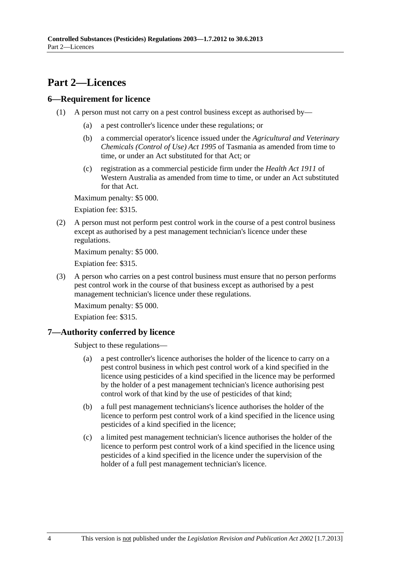# <span id="page-3-0"></span>**Part 2—Licences**

### **6—Requirement for licence**

- (1) A person must not carry on a pest control business except as authorised by—
	- (a) a pest controller's licence under these regulations; or
	- (b) a commercial operator's licence issued under the *Agricultural and Veterinary Chemicals (Control of Use) Act 1995* of Tasmania as amended from time to time, or under an Act substituted for that Act; or
	- (c) registration as a commercial pesticide firm under the *Health Act 1911* of Western Australia as amended from time to time, or under an Act substituted for that Act.

Maximum penalty: \$5 000.

Expiation fee: \$315.

 (2) A person must not perform pest control work in the course of a pest control business except as authorised by a pest management technician's licence under these regulations.

Maximum penalty: \$5 000.

Expiation fee: \$315.

 (3) A person who carries on a pest control business must ensure that no person performs pest control work in the course of that business except as authorised by a pest management technician's licence under these regulations.

Maximum penalty: \$5 000.

Expiation fee: \$315.

### **7—Authority conferred by licence**

Subject to these regulations—

- (a) a pest controller's licence authorises the holder of the licence to carry on a pest control business in which pest control work of a kind specified in the licence using pesticides of a kind specified in the licence may be performed by the holder of a pest management technician's licence authorising pest control work of that kind by the use of pesticides of that kind;
- (b) a full pest management technicians's licence authorises the holder of the licence to perform pest control work of a kind specified in the licence using pesticides of a kind specified in the licence;
- (c) a limited pest management technician's licence authorises the holder of the licence to perform pest control work of a kind specified in the licence using pesticides of a kind specified in the licence under the supervision of the holder of a full pest management technician's licence.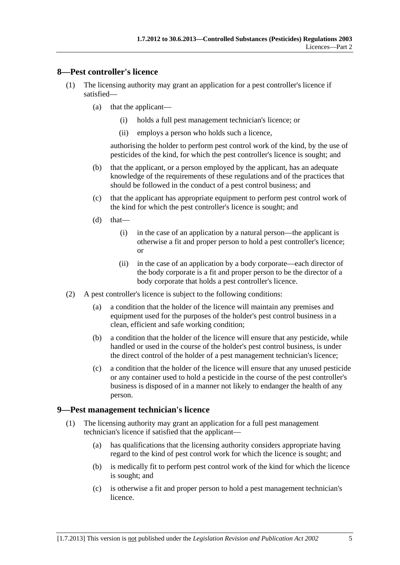### <span id="page-4-0"></span>**8—Pest controller's licence**

- (1) The licensing authority may grant an application for a pest controller's licence if satisfied—
	- (a) that the applicant—
		- (i) holds a full pest management technician's licence; or
		- (ii) employs a person who holds such a licence,

authorising the holder to perform pest control work of the kind, by the use of pesticides of the kind, for which the pest controller's licence is sought; and

- (b) that the applicant, or a person employed by the applicant, has an adequate knowledge of the requirements of these regulations and of the practices that should be followed in the conduct of a pest control business; and
- (c) that the applicant has appropriate equipment to perform pest control work of the kind for which the pest controller's licence is sought; and
- $(d)$  that—
	- (i) in the case of an application by a natural person—the applicant is otherwise a fit and proper person to hold a pest controller's licence; or
	- (ii) in the case of an application by a body corporate—each director of the body corporate is a fit and proper person to be the director of a body corporate that holds a pest controller's licence.
- (2) A pest controller's licence is subject to the following conditions:
	- (a) a condition that the holder of the licence will maintain any premises and equipment used for the purposes of the holder's pest control business in a clean, efficient and safe working condition;
	- (b) a condition that the holder of the licence will ensure that any pesticide, while handled or used in the course of the holder's pest control business, is under the direct control of the holder of a pest management technician's licence;
	- (c) a condition that the holder of the licence will ensure that any unused pesticide or any container used to hold a pesticide in the course of the pest controller's business is disposed of in a manner not likely to endanger the health of any person.

#### **9—Pest management technician's licence**

- (1) The licensing authority may grant an application for a full pest management technician's licence if satisfied that the applicant—
	- (a) has qualifications that the licensing authority considers appropriate having regard to the kind of pest control work for which the licence is sought; and
	- (b) is medically fit to perform pest control work of the kind for which the licence is sought; and
	- (c) is otherwise a fit and proper person to hold a pest management technician's licence.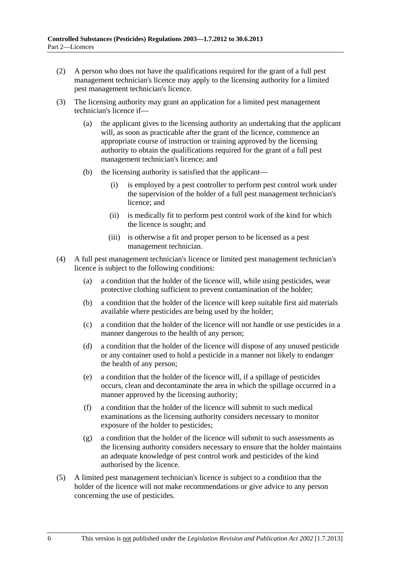- (2) A person who does not have the qualifications required for the grant of a full pest management technician's licence may apply to the licensing authority for a limited pest management technician's licence.
- (3) The licensing authority may grant an application for a limited pest management technician's licence if—
	- (a) the applicant gives to the licensing authority an undertaking that the applicant will, as soon as practicable after the grant of the licence, commence an appropriate course of instruction or training approved by the licensing authority to obtain the qualifications required for the grant of a full pest management technician's licence; and
	- (b) the licensing authority is satisfied that the applicant—
		- (i) is employed by a pest controller to perform pest control work under the supervision of the holder of a full pest management technician's licence; and
		- (ii) is medically fit to perform pest control work of the kind for which the licence is sought; and
		- (iii) is otherwise a fit and proper person to be licensed as a pest management technician.
- (4) A full pest management technician's licence or limited pest management technician's licence is subject to the following conditions:
	- (a) a condition that the holder of the licence will, while using pesticides, wear protective clothing sufficient to prevent contamination of the holder;
	- (b) a condition that the holder of the licence will keep suitable first aid materials available where pesticides are being used by the holder;
	- (c) a condition that the holder of the licence will not handle or use pesticides in a manner dangerous to the health of any person;
	- (d) a condition that the holder of the licence will dispose of any unused pesticide or any container used to hold a pesticide in a manner not likely to endanger the health of any person;
	- (e) a condition that the holder of the licence will, if a spillage of pesticides occurs, clean and decontaminate the area in which the spillage occurred in a manner approved by the licensing authority;
	- (f) a condition that the holder of the licence will submit to such medical examinations as the licensing authority considers necessary to monitor exposure of the holder to pesticides;
	- (g) a condition that the holder of the licence will submit to such assessments as the licensing authority considers necessary to ensure that the holder maintains an adequate knowledge of pest control work and pesticides of the kind authorised by the licence.
- (5) A limited pest management technician's licence is subject to a condition that the holder of the licence will not make recommendations or give advice to any person concerning the use of pesticides.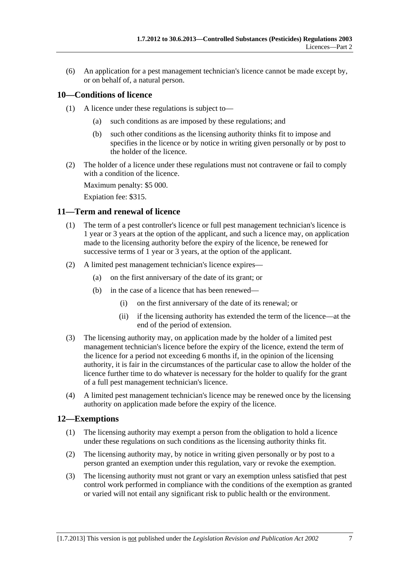<span id="page-6-0"></span> (6) An application for a pest management technician's licence cannot be made except by, or on behalf of, a natural person.

## **10—Conditions of licence**

- (1) A licence under these regulations is subject to—
	- (a) such conditions as are imposed by these regulations; and
	- (b) such other conditions as the licensing authority thinks fit to impose and specifies in the licence or by notice in writing given personally or by post to the holder of the licence.
- (2) The holder of a licence under these regulations must not contravene or fail to comply with a condition of the licence.

Maximum penalty: \$5 000.

Expiation fee: \$315.

#### **11—Term and renewal of licence**

- (1) The term of a pest controller's licence or full pest management technician's licence is 1 year or 3 years at the option of the applicant, and such a licence may, on application made to the licensing authority before the expiry of the licence, be renewed for successive terms of 1 year or 3 years, at the option of the applicant.
- (2) A limited pest management technician's licence expires—
	- (a) on the first anniversary of the date of its grant; or
	- (b) in the case of a licence that has been renewed—
		- (i) on the first anniversary of the date of its renewal; or
		- (ii) if the licensing authority has extended the term of the licence—at the end of the period of extension.
- (3) The licensing authority may, on application made by the holder of a limited pest management technician's licence before the expiry of the licence, extend the term of the licence for a period not exceeding 6 months if, in the opinion of the licensing authority, it is fair in the circumstances of the particular case to allow the holder of the licence further time to do whatever is necessary for the holder to qualify for the grant of a full pest management technician's licence.
- (4) A limited pest management technician's licence may be renewed once by the licensing authority on application made before the expiry of the licence.

#### **12—Exemptions**

- (1) The licensing authority may exempt a person from the obligation to hold a licence under these regulations on such conditions as the licensing authority thinks fit.
- (2) The licensing authority may, by notice in writing given personally or by post to a person granted an exemption under this regulation, vary or revoke the exemption.
- (3) The licensing authority must not grant or vary an exemption unless satisfied that pest control work performed in compliance with the conditions of the exemption as granted or varied will not entail any significant risk to public health or the environment.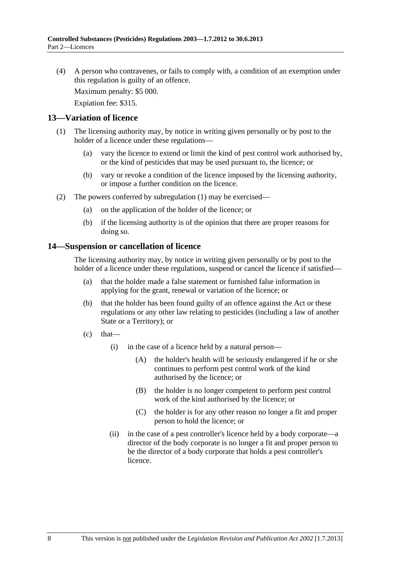<span id="page-7-0"></span> (4) A person who contravenes, or fails to comply with, a condition of an exemption under this regulation is guilty of an offence.

Maximum penalty: \$5 000.

Expiation fee: \$315.

#### **13—Variation of licence**

- (1) The licensing authority may, by notice in writing given personally or by post to the holder of a licence under these regulations—
	- (a) vary the licence to extend or limit the kind of pest control work authorised by, or the kind of pesticides that may be used pursuant to, the licence; or
	- (b) vary or revoke a condition of the licence imposed by the licensing authority, or impose a further condition on the licence.
- (2) The powers conferred by [subregulation \(1\)](#page-7-0) may be exercised—
	- (a) on the application of the holder of the licence; or
	- (b) if the licensing authority is of the opinion that there are proper reasons for doing so.

#### **14—Suspension or cancellation of licence**

The licensing authority may, by notice in writing given personally or by post to the holder of a licence under these regulations, suspend or cancel the licence if satisfied—

- (a) that the holder made a false statement or furnished false information in applying for the grant, renewal or variation of the licence; or
- (b) that the holder has been found guilty of an offence against the Act or these regulations or any other law relating to pesticides (including a law of another State or a Territory); or
- $(c)$  that—
	- (i) in the case of a licence held by a natural person—
		- (A) the holder's health will be seriously endangered if he or she continues to perform pest control work of the kind authorised by the licence; or
		- (B) the holder is no longer competent to perform pest control work of the kind authorised by the licence; or
		- (C) the holder is for any other reason no longer a fit and proper person to hold the licence; or
	- (ii) in the case of a pest controller's licence held by a body corporate—a director of the body corporate is no longer a fit and proper person to be the director of a body corporate that holds a pest controller's licence.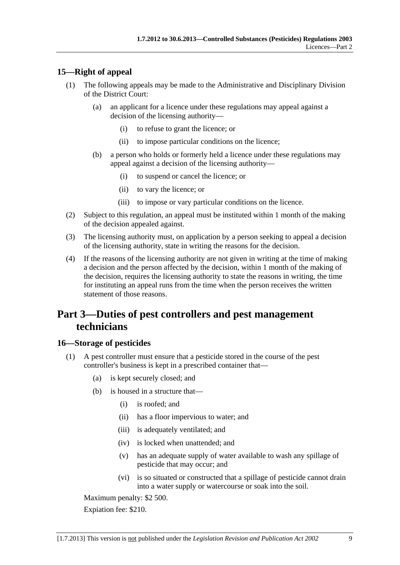## <span id="page-8-0"></span>**15—Right of appeal**

- (1) The following appeals may be made to the Administrative and Disciplinary Division of the District Court:
	- (a) an applicant for a licence under these regulations may appeal against a decision of the licensing authority—
		- (i) to refuse to grant the licence; or
		- (ii) to impose particular conditions on the licence;
	- (b) a person who holds or formerly held a licence under these regulations may appeal against a decision of the licensing authority—
		- (i) to suspend or cancel the licence; or
		- (ii) to vary the licence; or
		- (iii) to impose or vary particular conditions on the licence.
- (2) Subject to this regulation, an appeal must be instituted within 1 month of the making of the decision appealed against.
- (3) The licensing authority must, on application by a person seeking to appeal a decision of the licensing authority, state in writing the reasons for the decision.
- (4) If the reasons of the licensing authority are not given in writing at the time of making a decision and the person affected by the decision, within 1 month of the making of the decision, requires the licensing authority to state the reasons in writing, the time for instituting an appeal runs from the time when the person receives the written statement of those reasons.

# **Part 3—Duties of pest controllers and pest management technicians**

### **16—Storage of pesticides**

- (1) A pest controller must ensure that a pesticide stored in the course of the pest controller's business is kept in a prescribed container that—
	- (a) is kept securely closed; and
	- (b) is housed in a structure that—
		- (i) is roofed; and
		- (ii) has a floor impervious to water; and
		- (iii) is adequately ventilated; and
		- (iv) is locked when unattended; and
		- (v) has an adequate supply of water available to wash any spillage of pesticide that may occur; and
		- (vi) is so situated or constructed that a spillage of pesticide cannot drain into a water supply or watercourse or soak into the soil.

Maximum penalty: \$2 500.

Expiation fee: \$210.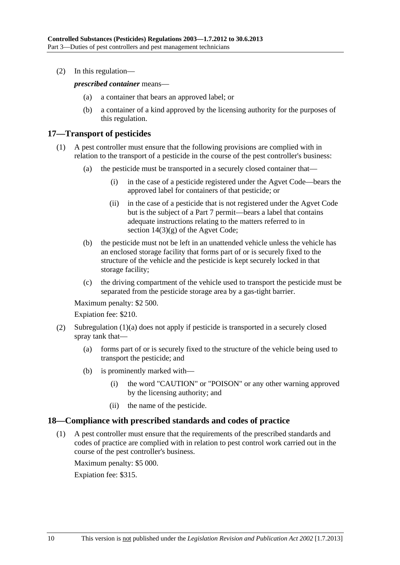<span id="page-9-0"></span>(2) In this regulation—

*prescribed container* means—

- (a) a container that bears an approved label; or
- (b) a container of a kind approved by the licensing authority for the purposes of this regulation.

### **17—Transport of pesticides**

- (1) A pest controller must ensure that the following provisions are complied with in relation to the transport of a pesticide in the course of the pest controller's business:
	- (a) the pesticide must be transported in a securely closed container that—
		- (i) in the case of a pesticide registered under the Agvet Code—bears the approved label for containers of that pesticide; or
		- (ii) in the case of a pesticide that is not registered under the Agvet Code but is the subject of a Part 7 permit—bears a label that contains adequate instructions relating to the matters referred to in section 14(3)(g) of the Agvet Code;
	- (b) the pesticide must not be left in an unattended vehicle unless the vehicle has an enclosed storage facility that forms part of or is securely fixed to the structure of the vehicle and the pesticide is kept securely locked in that storage facility;
	- (c) the driving compartment of the vehicle used to transport the pesticide must be separated from the pesticide storage area by a gas-tight barrier.

Maximum penalty: \$2 500.

Expiation fee: \$210.

- (2) [Subregulation \(1\)\(a\)](#page-8-0) does not apply if pesticide is transported in a securely closed spray tank that—
	- (a) forms part of or is securely fixed to the structure of the vehicle being used to transport the pesticide; and
	- (b) is prominently marked with—
		- (i) the word "CAUTION" or "POISON" or any other warning approved by the licensing authority; and
		- (ii) the name of the pesticide.

#### **18—Compliance with prescribed standards and codes of practice**

 (1) A pest controller must ensure that the requirements of the prescribed standards and codes of practice are complied with in relation to pest control work carried out in the course of the pest controller's business.

Maximum penalty: \$5 000.

Expiation fee: \$315.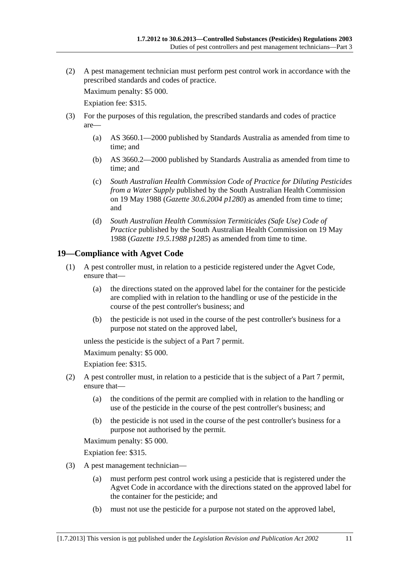<span id="page-10-0"></span> (2) A pest management technician must perform pest control work in accordance with the prescribed standards and codes of practice.

Maximum penalty: \$5 000.

Expiation fee: \$315.

- (3) For the purposes of this regulation, the prescribed standards and codes of practice are—
	- (a) AS 3660.1—2000 published by Standards Australia as amended from time to time; and
	- (b) AS 3660.2—2000 published by Standards Australia as amended from time to time; and
	- (c) *South Australian Health Commission Code of Practice for Diluting Pesticides from a Water Supply* published by the South Australian Health Commission on 19 May 1988 (*Gazette 30.6.2004 p1280*) as amended from time to time; and
	- (d) *South Australian Health Commission Termiticides (Safe Use) Code of Practice* published by the South Australian Health Commission on 19 May 1988 (*Gazette 19.5.1988 p1285*) as amended from time to time.

## **19—Compliance with Agvet Code**

- (1) A pest controller must, in relation to a pesticide registered under the Agvet Code, ensure that—
	- (a) the directions stated on the approved label for the container for the pesticide are complied with in relation to the handling or use of the pesticide in the course of the pest controller's business; and
	- (b) the pesticide is not used in the course of the pest controller's business for a purpose not stated on the approved label,

unless the pesticide is the subject of a Part 7 permit.

Maximum penalty: \$5 000.

Expiation fee: \$315.

- (2) A pest controller must, in relation to a pesticide that is the subject of a Part 7 permit, ensure that—
	- (a) the conditions of the permit are complied with in relation to the handling or use of the pesticide in the course of the pest controller's business; and
	- (b) the pesticide is not used in the course of the pest controller's business for a purpose not authorised by the permit.

Maximum penalty: \$5 000.

Expiation fee: \$315.

- (3) A pest management technician—
	- (a) must perform pest control work using a pesticide that is registered under the Agvet Code in accordance with the directions stated on the approved label for the container for the pesticide; and
	- (b) must not use the pesticide for a purpose not stated on the approved label,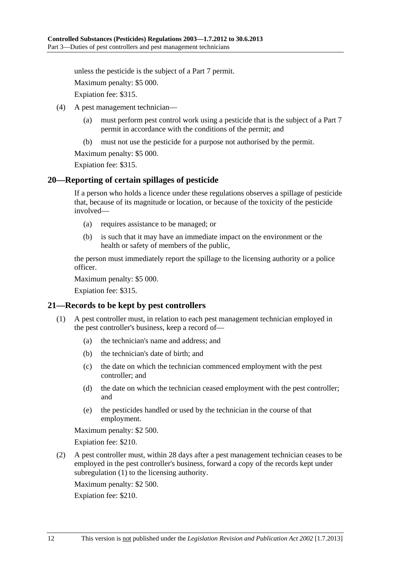<span id="page-11-0"></span>unless the pesticide is the subject of a Part 7 permit.

Maximum penalty: \$5 000.

Expiation fee: \$315.

- (4) A pest management technician—
	- (a) must perform pest control work using a pesticide that is the subject of a Part 7 permit in accordance with the conditions of the permit; and
	- (b) must not use the pesticide for a purpose not authorised by the permit.

Maximum penalty: \$5 000.

Expiation fee: \$315.

#### **20—Reporting of certain spillages of pesticide**

If a person who holds a licence under these regulations observes a spillage of pesticide that, because of its magnitude or location, or because of the toxicity of the pesticide involved—

- (a) requires assistance to be managed; or
- (b) is such that it may have an immediate impact on the environment or the health or safety of members of the public,

the person must immediately report the spillage to the licensing authority or a police officer.

Maximum penalty: \$5 000.

Expiation fee: \$315.

#### **21—Records to be kept by pest controllers**

- (1) A pest controller must, in relation to each pest management technician employed in the pest controller's business, keep a record of—
	- (a) the technician's name and address; and
	- (b) the technician's date of birth; and
	- (c) the date on which the technician commenced employment with the pest controller; and
	- (d) the date on which the technician ceased employment with the pest controller; and
	- (e) the pesticides handled or used by the technician in the course of that employment.

Maximum penalty: \$2 500.

Expiation fee: \$210.

 (2) A pest controller must, within 28 days after a pest management technician ceases to be employed in the pest controller's business, forward a copy of the records kept under [subregulation \(1\)](#page-11-0) to the licensing authority.

Maximum penalty: \$2 500.

Expiation fee: \$210.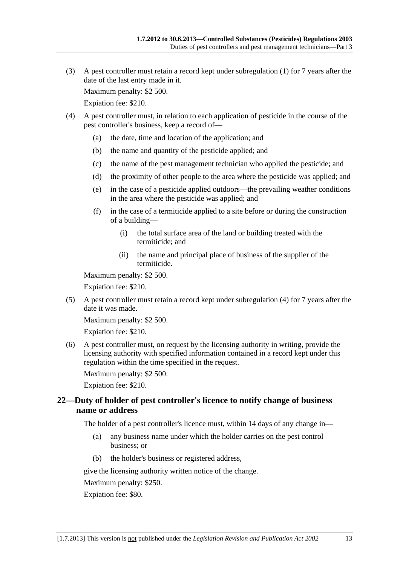<span id="page-12-0"></span> (3) A pest controller must retain a record kept under [subregulation \(1\)](#page-11-0) for 7 years after the date of the last entry made in it.

Maximum penalty: \$2 500.

Expiation fee: \$210.

- (4) A pest controller must, in relation to each application of pesticide in the course of the pest controller's business, keep a record of—
	- (a) the date, time and location of the application; and
	- (b) the name and quantity of the pesticide applied; and
	- (c) the name of the pest management technician who applied the pesticide; and
	- (d) the proximity of other people to the area where the pesticide was applied; and
	- (e) in the case of a pesticide applied outdoors—the prevailing weather conditions in the area where the pesticide was applied; and
	- (f) in the case of a termiticide applied to a site before or during the construction of a building—
		- (i) the total surface area of the land or building treated with the termiticide; and
		- (ii) the name and principal place of business of the supplier of the termiticide.

Maximum penalty: \$2 500.

Expiation fee: \$210.

 (5) A pest controller must retain a record kept under [subregulation \(4\)](#page-12-0) for 7 years after the date it was made.

Maximum penalty: \$2 500.

Expiation fee: \$210.

 (6) A pest controller must, on request by the licensing authority in writing, provide the licensing authority with specified information contained in a record kept under this regulation within the time specified in the request.

Maximum penalty: \$2 500.

Expiation fee: \$210.

### **22—Duty of holder of pest controller's licence to notify change of business name or address**

The holder of a pest controller's licence must, within 14 days of any change in—

- (a) any business name under which the holder carries on the pest control business; or
- (b) the holder's business or registered address,

give the licensing authority written notice of the change.

Maximum penalty: \$250.

Expiation fee: \$80.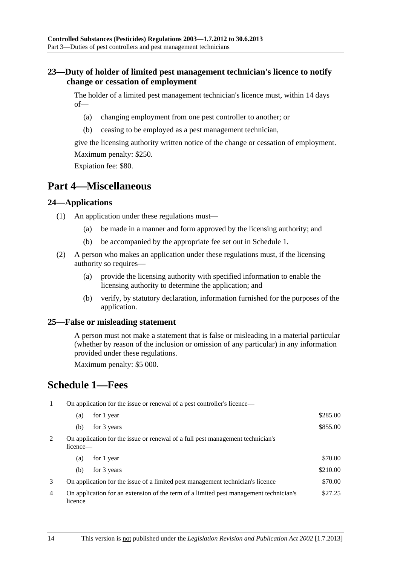## <span id="page-13-0"></span>**23—Duty of holder of limited pest management technician's licence to notify change or cessation of employment**

The holder of a limited pest management technician's licence must, within 14 days of—

- (a) changing employment from one pest controller to another; or
- (b) ceasing to be employed as a pest management technician,

give the licensing authority written notice of the change or cessation of employment. Maximum penalty: \$250.

Expiation fee: \$80.

## **Part 4—Miscellaneous**

### **24—Applications**

- (1) An application under these regulations must—
	- (a) be made in a manner and form approved by the licensing authority; and
	- (b) be accompanied by the appropriate fee set out in [Schedule 1.](#page-13-0)
- (2) A person who makes an application under these regulations must, if the licensing authority so requires—
	- (a) provide the licensing authority with specified information to enable the licensing authority to determine the application; and
	- (b) verify, by statutory declaration, information furnished for the purposes of the application.

### **25—False or misleading statement**

A person must not make a statement that is false or misleading in a material particular (whether by reason of the inclusion or omission of any particular) in any information provided under these regulations.

Maximum penalty: \$5 000.

# **Schedule 1—Fees**

1 On application for the issue or renewal of a pest controller's licence—

|   | (a)                                                                                        | for 1 year                                                                     | \$285.00 |
|---|--------------------------------------------------------------------------------------------|--------------------------------------------------------------------------------|----------|
|   | (b)                                                                                        | for 3 years                                                                    | \$855.00 |
| 2 | On application for the issue or renewal of a full pest management technician's<br>licence— |                                                                                |          |
|   | (a)                                                                                        | for 1 year                                                                     | \$70.00  |
|   | (b)                                                                                        | for 3 years                                                                    | \$210.00 |
| 3 |                                                                                            | On application for the issue of a limited pest management technician's licence | \$70.00  |

4 On application for an extension of the term of a limited pest management technician's licence \$27.25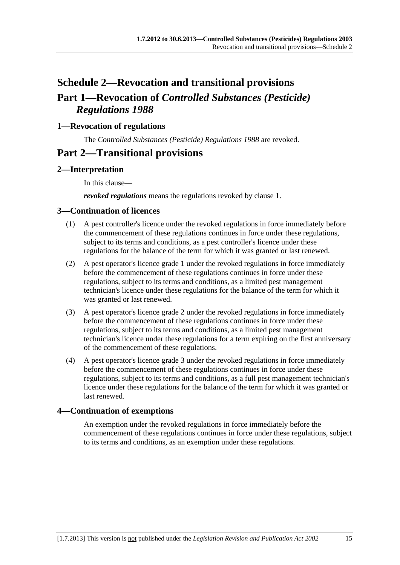# <span id="page-14-0"></span>**Schedule 2—Revocation and transitional provisions Part 1—Revocation of** *Controlled Substances (Pesticide) Regulations 1988*

## **1—Revocation of regulations**

The *[Controlled Substances \(Pesticide\) Regulations 1988](http://www.legislation.sa.gov.au/index.aspx?action=legref&type=subordleg&legtitle=Controlled%20Substances%20(Pesticide)%20Regulations%201988)* are revoked.

## **Part 2—Transitional provisions**

## **2—Interpretation**

In this clause—

*revoked regulations* means the regulations revoked by [clause 1](#page-14-0).

#### **3—Continuation of licences**

- (1) A pest controller's licence under the revoked regulations in force immediately before the commencement of these regulations continues in force under these regulations, subject to its terms and conditions, as a pest controller's licence under these regulations for the balance of the term for which it was granted or last renewed.
- (2) A pest operator's licence grade 1 under the revoked regulations in force immediately before the commencement of these regulations continues in force under these regulations, subject to its terms and conditions, as a limited pest management technician's licence under these regulations for the balance of the term for which it was granted or last renewed.
- (3) A pest operator's licence grade 2 under the revoked regulations in force immediately before the commencement of these regulations continues in force under these regulations, subject to its terms and conditions, as a limited pest management technician's licence under these regulations for a term expiring on the first anniversary of the commencement of these regulations.
- (4) A pest operator's licence grade 3 under the revoked regulations in force immediately before the commencement of these regulations continues in force under these regulations, subject to its terms and conditions, as a full pest management technician's licence under these regulations for the balance of the term for which it was granted or last renewed.

### **4—Continuation of exemptions**

An exemption under the revoked regulations in force immediately before the commencement of these regulations continues in force under these regulations, subject to its terms and conditions, as an exemption under these regulations.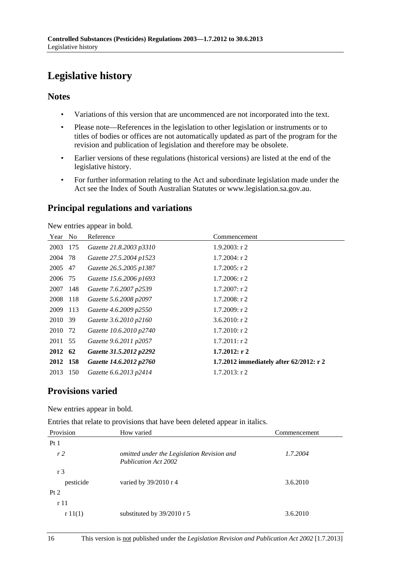# <span id="page-15-0"></span>**Legislative history**

## **Notes**

- Variations of this version that are uncommenced are not incorporated into the text.
- Please note—References in the legislation to other legislation or instruments or to titles of bodies or offices are not automatically updated as part of the program for the revision and publication of legislation and therefore may be obsolete.
- Earlier versions of these regulations (historical versions) are listed at the end of the legislative history.
- For further information relating to the Act and subordinate legislation made under the Act see the Index of South Australian Statutes or www.legislation.sa.gov.au.

## **Principal regulations and variations**

New entries appear in bold.

| Year     | N <sub>0</sub> | Reference               | Commencement                            |
|----------|----------------|-------------------------|-----------------------------------------|
| 2003     | 175            | Gazette 21.8.2003 p3310 | $1.9.2003$ : r 2                        |
| 2004     | -78            | Gazette 27.5.2004 p1523 | $1.7.2004$ : r 2                        |
| 2005     | 47             | Gazette 26.5.2005 p1387 | $1.7.2005$ : r 2                        |
| 2006 75  |                | Gazette 15.6.2006 p1693 | $1.7.2006$ : r 2                        |
| 2007     | 148            | Gazette 7.6.2007 p2539  | $1.7.2007$ : r 2                        |
| 2008     | 118            | Gazette 5.6.2008 p2097  | $1.7.2008$ : r 2                        |
| 2009     | 113            | Gazette 4.6.2009 p2550  | $1.7.2009$ : r 2                        |
| 2010     | - 39           | Gazette 3.6.2010 p2160  | $3.6.2010$ : r 2                        |
| 2010     | 72             | Gazette 10.6.2010 p2740 | $1.7.2010$ : r 2                        |
| 2011 55  |                | Gazette 9.6.2011 p2057  | $1.7.2011:$ r 2                         |
| 2012     | 62             | Gazette 31.5.2012 p2292 | $1.7.2012:$ r 2                         |
| 2012 158 |                | Gazette 14.6.2012 p2760 | 1.7.2012 immediately after 62/2012: r 2 |
| 2013     | 150            | Gazette 6.6.2013 p2414  | $1.7.2013$ : r 2                        |

## **Provisions varied**

New entries appear in bold.

Entries that relate to provisions that have been deleted appear in italics.

| Provision      | How varied                                                                | Commencement |
|----------------|---------------------------------------------------------------------------|--------------|
| Pt1            |                                                                           |              |
| r <sub>2</sub> | omitted under the Legislation Revision and<br><b>Publication Act 2002</b> | 1.7.2004     |
| r <sub>3</sub> |                                                                           |              |
| pesticide      | varied by $39/2010$ r 4                                                   | 3.6.2010     |
| Pt 2           |                                                                           |              |
| r 11           |                                                                           |              |
| r11(1)         | substituted by $39/2010$ r 5                                              | 3.6.2010     |